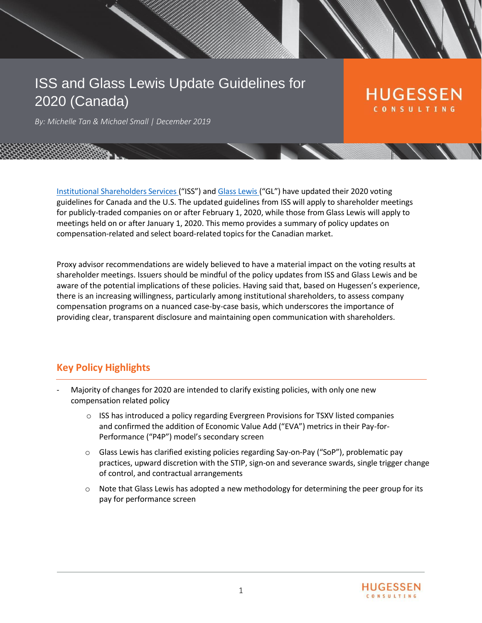# ISS and Glass Lewis Update Guidelines for 2020 (Canada)

## **HUGESSEN** CONSULTING

*By: Michelle Tan & Michael Small | December 2019*

Institutional [Shareholders](https://www.issgovernance.com/policy-gateway/latest-policies/) Services ("ISS") and [Glass](http://www.glasslewis.com/guidelines/) Lewis ("GL") have updated their 2020 voting guidelines for Canada and the U.S. The updated guidelines from ISS will apply to shareholder meetings for publicly-traded companies on or after February 1, 2020, while those from Glass Lewis will apply to meetings held on or after January 1, 2020. This memo provides a summary of policy updates on compensation-related and select board-related topics for the Canadian market.

Proxy advisor recommendations are widely believed to have a material impact on the voting results at shareholder meetings. Issuers should be mindful of the policy updates from ISS and Glass Lewis and be aware of the potential implications of these policies. Having said that, based on Hugessen's experience, there is an increasing willingness, particularly among institutional shareholders, to assess company compensation programs on a nuanced case-by-case basis, which underscores the importance of providing clear, transparent disclosure and maintaining open communication with shareholders.

## **Key Policy Highlights**

- Majority of changes for 2020 are intended to clarify existing policies, with only one new compensation related policy
	- $\circ$  ISS has introduced a policy regarding Evergreen Provisions for TSXV listed companies and confirmed the addition of Economic Value Add ("EVA") metrics in their Pay-for-Performance ("P4P") model's secondary screen
	- $\circ$  Glass Lewis has clarified existing policies regarding Say-on-Pay ("SoP"), problematic pay practices, upward discretion with the STIP, sign-on and severance swards, single trigger change of control, and contractual arrangements
	- $\circ$  Note that Glass Lewis has adopted a new methodology for determining the peer group for its pay for performance screen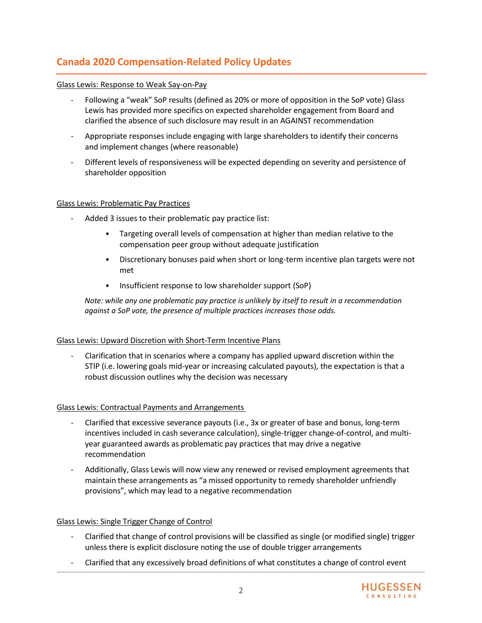## **Canada 2020 Compensation-Related Policy Updates**

#### Glass Lewis: Response to Weak Say-on-Pay

- Following a "weak" SoP results (defined as 20% or more of opposition in the SoP vote) Glass Lewis has provided more specifics on expected shareholder engagement from Board and clarified the absence of such disclosure may result in an AGAINST recommendation
- Appropriate responses include engaging with large shareholders to identify their concerns and implement changes (where reasonable)
- Different levels of responsiveness will be expected depending on severity and persistence of shareholder opposition

#### Glass Lewis: Problematic Pay Practices

- Added 3 issues to their problematic pay practice list:
	- Targeting overall levels of compensation at higher than median relative to the compensation peer group without adequate justification
	- Discretionary bonuses paid when short or long-term incentive plan targets were not met
	- Insufficient response to low shareholder support (SoP)

*Note: while any one problematic pay practice is unlikely by itself to result in a recommendation against a SoP vote, the presence of multiple practices increases those odds.*

#### Glass Lewis: Upward Discretion with Short-Term Incentive Plans

- Clarification that in scenarios where a company has applied upward discretion within the STIP (i.e. lowering goals mid-year or increasing calculated payouts), the expectation is that a robust discussion outlines why the decision was necessary

#### Glass Lewis: Contractual Payments and Arrangements

- Clarified that excessive severance payouts (i.e., 3x or greater of base and bonus, long-term incentives included in cash severance calculation), single-trigger change-of-control, and multiyear guaranteed awards as problematic pay practices that may drive a negative recommendation
- Additionally, Glass Lewis will now view any renewed or revised employment agreements that maintain these arrangements as "a missed opportunity to remedy shareholder unfriendly provisions", which may lead to a negative recommendation

#### Glass Lewis: Single Trigger Change of Control

- Clarified that change of control provisions will be classified as single (or modified single) trigger unless there is explicit disclosure noting the use of double trigger arrangements
- Clarified that any excessively broad definitions of what constitutes a change of control event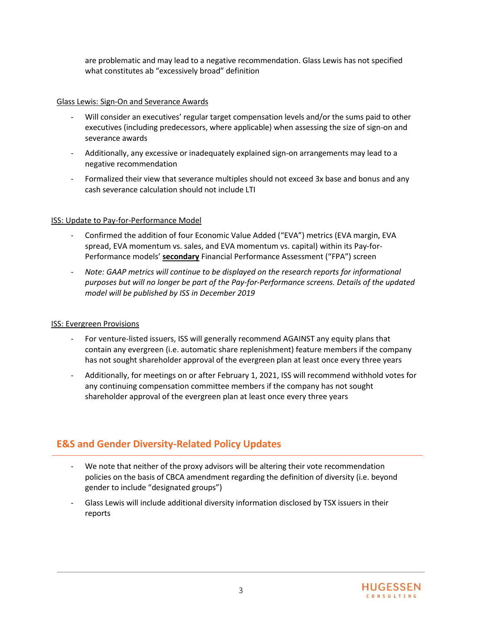are problematic and may lead to a negative recommendation. Glass Lewis has not specified what constitutes ab "excessively broad" definition

#### Glass Lewis: Sign-On and Severance Awards

- Will consider an executives' regular target compensation levels and/or the sums paid to other executives (including predecessors, where applicable) when assessing the size of sign-on and severance awards
- Additionally, any excessive or inadequately explained sign-on arrangements may lead to a negative recommendation
- Formalized their view that severance multiples should not exceed 3x base and bonus and any cash severance calculation should not include LTI

#### ISS: Update to Pay-for-Performance Model

- Confirmed the addition of four Economic Value Added ("EVA") metrics (EVA margin, EVA spread, EVA momentum vs. sales, and EVA momentum vs. capital) within its Pay-for-Performance models' **secondary** Financial Performance Assessment ("FPA") screen
- *Note: GAAP metrics will continue to be displayed on the research reports for informational purposes but will no longer be part of the Pay-for-Performance screens. Details of the updated model will be published by ISS in December 2019*

#### ISS: Evergreen Provisions

- For venture-listed issuers, ISS will generally recommend AGAINST any equity plans that contain any evergreen (i.e. automatic share replenishment) feature members if the company has not sought shareholder approval of the evergreen plan at least once every three years
- Additionally, for meetings on or after February 1, 2021, ISS will recommend withhold votes for any continuing compensation committee members if the company has not sought shareholder approval of the evergreen plan at least once every three years

### **E&S and Gender Diversity-Related Policy Updates**

- We note that neither of the proxy advisors will be altering their vote recommendation policies on the basis of CBCA amendment regarding the definition of diversity (i.e. beyond gender to include "designated groups")
- Glass Lewis will include additional diversity information disclosed by TSX issuers in their reports